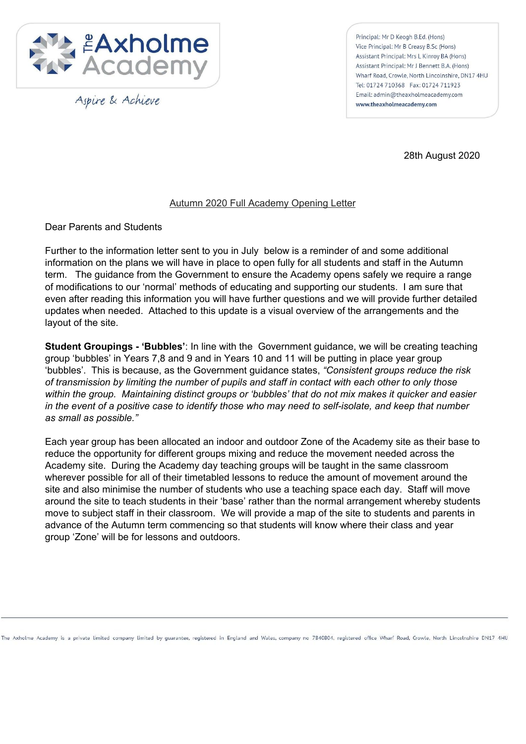

Aspire & Achieve

Principal: Mr D Keogh B.Ed. (Hons) Vice Principal: Mr B Creasy B.Sc (Hons) Assistant Principal: Mrs L Kinroy BA (Hons) Assistant Principal: Mr J Bennett B.A. (Hons) Wharf Road, Crowle, North Lincolnshire, DN17 4HU Tel: 01724 710368 Fax: 01724 711923 Email: admin@theaxholmeacademy.com www.theaxholmeacademy.com

28th August 2020

## Autumn 2020 Full Academy Opening Letter

Dear Parents and Students

Further to the information letter sent to you in July below is a reminder of and some additional information on the plans we will have in place to open fully for all students and staff in the Autumn term. The guidance from the Government to ensure the Academy opens safely we require a range of modifications to our 'normal' methods of educating and supporting our students. I am sure that even after reading this information you will have further questions and we will provide further detailed updates when needed. Attached to this update is a visual overview of the arrangements and the layout of the site.

**Student Groupings - 'Bubbles'**: In line with the Government guidance, we will be creating teaching group 'bubbles' in Years 7,8 and 9 and in Years 10 and 11 will be putting in place year group 'bubbles'. This is because, as the Government guidance states, *"Consistent groups reduce the risk* of transmission by limiting the number of pupils and staff in contact with each other to only those *within the group. Maintaining distinct groups or 'bubbles' that do not mix makes it quicker and easier* in the event of a positive case to identify those who may need to self-isolate, and keep that number *as small as possible."*

Each year group has been allocated an indoor and outdoor Zone of the Academy site as their base to reduce the opportunity for different groups mixing and reduce the movement needed across the Academy site. During the Academy day teaching groups will be taught in the same classroom wherever possible for all of their timetabled lessons to reduce the amount of movement around the site and also minimise the number of students who use a teaching space each day. Staff will move around the site to teach students in their 'base' rather than the normal arrangement whereby students move to subject staff in their classroom. We will provide a map of the site to students and parents in advance of the Autumn term commencing so that students will know where their class and year group 'Zone' will be for lessons and outdoors.

The Axholme Academy is a private limited company limited by guarantee, registered in England and Wales, company no 7840804, registered office Wharf Road, Crowle, North Lincolnshire DN17 4HU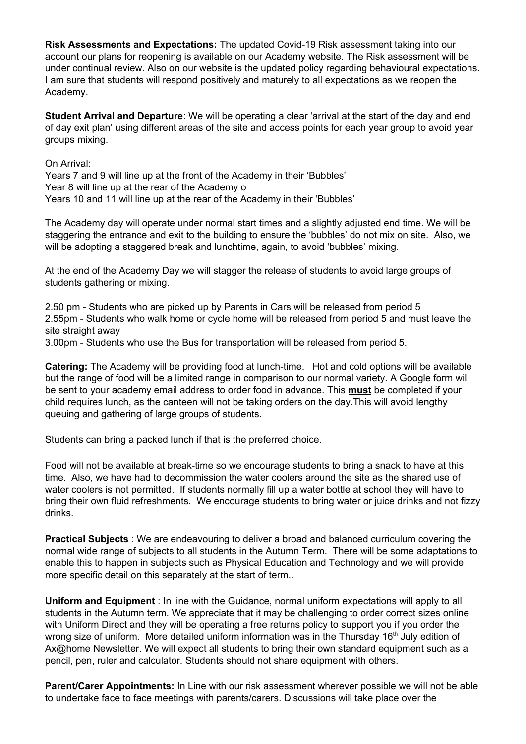**Risk Assessments and Expectations:** The updated Covid-19 Risk assessment taking into our account our plans for reopening is available on our Academy website. The Risk assessment will be under continual review. Also on our website is the updated policy regarding behavioural expectations. I am sure that students will respond positively and maturely to all expectations as we reopen the Academy.

**Student Arrival and Departure**: We will be operating a clear 'arrival at the start of the day and end of day exit plan' using different areas of the site and access points for each year group to avoid year groups mixing.

On Arrival:

Years 7 and 9 will line up at the front of the Academy in their 'Bubbles' Year 8 will line up at the rear of the Academy o Years 10 and 11 will line up at the rear of the Academy in their 'Bubbles'

The Academy day will operate under normal start times and a slightly adjusted end time. We will be staggering the entrance and exit to the building to ensure the 'bubbles' do not mix on site. Also, we will be adopting a staggered break and lunchtime, again, to avoid 'bubbles' mixing.

At the end of the Academy Day we will stagger the release of students to avoid large groups of students gathering or mixing.

2.50 pm - Students who are picked up by Parents in Cars will be released from period 5 2.55pm - Students who walk home or cycle home will be released from period 5 and must leave the site straight away

3.00pm - Students who use the Bus for transportation will be released from period 5.

**Catering:** The Academy will be providing food at lunch-time. Hot and cold options will be available but the range of food will be a limited range in comparison to our normal variety. A Google form will be sent to your academy email address to order food in advance. This **must** be completed if your child requires lunch, as the canteen will not be taking orders on the day.This will avoid lengthy queuing and gathering of large groups of students.

Students can bring a packed lunch if that is the preferred choice.

Food will not be available at break-time so we encourage students to bring a snack to have at this time. Also, we have had to decommission the water coolers around the site as the shared use of water coolers is not permitted. If students normally fill up a water bottle at school they will have to bring their own fluid refreshments. We encourage students to bring water or juice drinks and not fizzy drinks.

**Practical Subjects** : We are endeavouring to deliver a broad and balanced curriculum covering the normal wide range of subjects to all students in the Autumn Term. There will be some adaptations to enable this to happen in subjects such as Physical Education and Technology and we will provide more specific detail on this separately at the start of term..

**Uniform and Equipment** : In line with the Guidance, normal uniform expectations will apply to all students in the Autumn term. We appreciate that it may be challenging to order correct sizes online with Uniform Direct and they will be operating a free returns policy to support you if you order the wrong size of uniform. More detailed uniform information was in the Thursday 16<sup>th</sup> July edition of Ax@home Newsletter. We will expect all students to bring their own standard equipment such as a pencil, pen, ruler and calculator. Students should not share equipment with others.

**Parent/Carer Appointments:** In Line with our risk assessment wherever possible we will not be able to undertake face to face meetings with parents/carers. Discussions will take place over the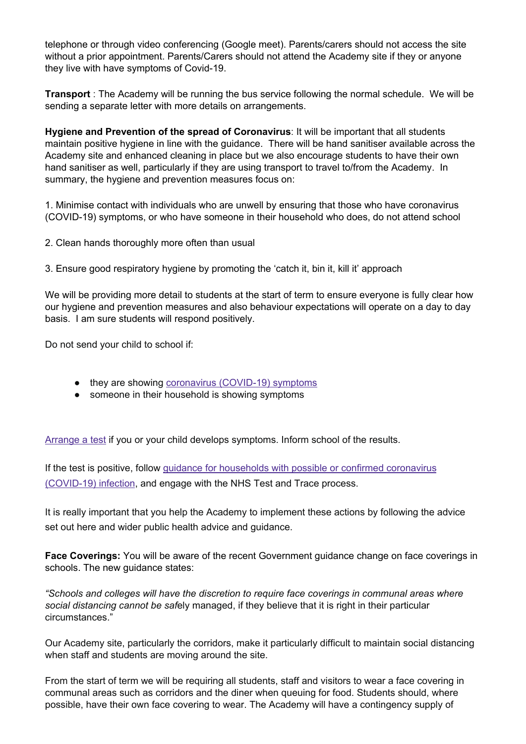telephone or through video conferencing (Google meet). Parents/carers should not access the site without a prior appointment. Parents/Carers should not attend the Academy site if they or anyone they live with have symptoms of Covid-19.

**Transport** : The Academy will be running the bus service following the normal schedule. We will be sending a separate letter with more details on arrangements.

**Hygiene and Prevention of the spread of Coronavirus**: It will be important that all students maintain positive hygiene in line with the guidance. There will be hand sanitiser available across the Academy site and enhanced cleaning in place but we also encourage students to have their own hand sanitiser as well, particularly if they are using transport to travel to/from the Academy. In summary, the hygiene and prevention measures focus on:

1. Minimise contact with individuals who are unwell by ensuring that those who have coronavirus (COVID-19) symptoms, or who have someone in their household who does, do not attend school

2. Clean hands thoroughly more often than usual

3. Ensure good respiratory hygiene by promoting the 'catch it, bin it, kill it' approach

We will be providing more detail to students at the start of term to ensure everyone is fully clear how our hygiene and prevention measures and also behaviour expectations will operate on a day to day basis. I am sure students will respond positively.

Do not send your child to school if:

- they are showing coronavirus [\(COVID-19\)](https://www.nhs.uk/conditions/coronavirus-covid-19/symptoms/) symptoms
- someone in their household is showing symptoms

[Arrange](https://www.nhs.uk/conditions/coronavirus-covid-19/testing-and-tracing/) a test if you or your child develops symptoms. Inform school of the results.

If the test is positive, follow guidance for households with possible or confirmed [coronavirus](https://www.gov.uk/government/publications/covid-19-stay-at-home-guidance) [\(COVID-19\)](https://www.gov.uk/government/publications/covid-19-stay-at-home-guidance) infection, and engage with the NHS Test and Trace process.

It is really important that you help the Academy to implement these actions by following the advice set out here and wider public health advice and guidance.

**Face Coverings:** You will be aware of the recent Government guidance change on face coverings in schools. The new guidance states:

*"Schools and colleges will have the discretion to require face coverings in communal areas where social distancing cannot be saf*ely managed, if they believe that it is right in their particular circumstances."

Our Academy site, particularly the corridors, make it particularly difficult to maintain social distancing when staff and students are moving around the site.

From the start of term we will be requiring all students, staff and visitors to wear a face covering in communal areas such as corridors and the diner when queuing for food. Students should, where possible, have their own face covering to wear. The Academy will have a contingency supply of